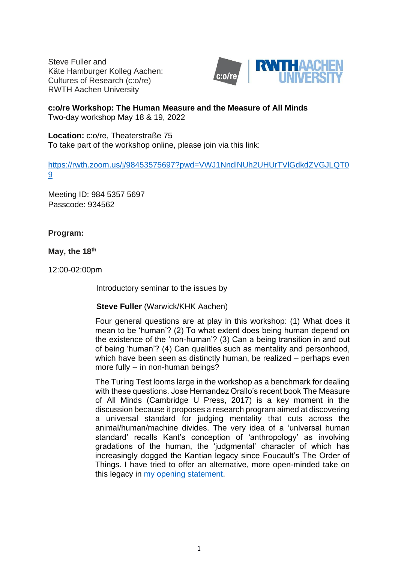Steve Fuller and Käte Hamburger Kolleg Aachen: Cultures of Research (c:o/re) RWTH Aachen University



# **c:o/re Workshop: The Human Measure and the Measure of All Minds**

Two-day workshop May 18 & 19, 2022

**Location:** c:o/re, Theaterstraße 75 To take part of the workshop online, please join via this link:

[https://rwth.zoom.us/j/98453575697?pwd=VWJ1NndlNUh2UHUrTVlGdkdZVGJLQT0](https://rwth.zoom.us/j/98453575697?pwd=VWJ1NndlNUh2UHUrTVlGdkdZVGJLQT09) [9](https://rwth.zoom.us/j/98453575697?pwd=VWJ1NndlNUh2UHUrTVlGdkdZVGJLQT09)

Meeting ID: 984 5357 5697 Passcode: 934562

# **Program:**

**May, the 18th**

12:00-02:00pm

Introductory seminar to the issues by

# **Steve Fuller** (Warwick/KHK Aachen)

Four general questions are at play in this workshop: (1) What does it mean to be 'human'? (2) To what extent does being human depend on the existence of the 'non-human'? (3) Can a being transition in and out of being 'human'? (4) Can qualities such as mentality and personhood, which have been seen as distinctly human, be realized – perhaps even more fully -- in non-human beings?

The Turing Test looms large in the workshop as a benchmark for dealing with these questions. Jose Hernandez Orallo's recent book The Measure of All Minds (Cambridge U Press, 2017) is a key moment in the discussion because it proposes a research program aimed at discovering a universal standard for judging mentality that cuts across the animal/human/machine divides. The very idea of a 'universal human standard' recalls Kant's conception of 'anthropology' as involving gradations of the human, the 'judgmental' character of which has increasingly dogged the Kantian legacy since Foucault's The Order of Things. I have tried to offer an alternative, more open-minded take on this legacy in [my opening statement.](https://khk.rwth-aachen.de/2022/05/10/3243/3243/)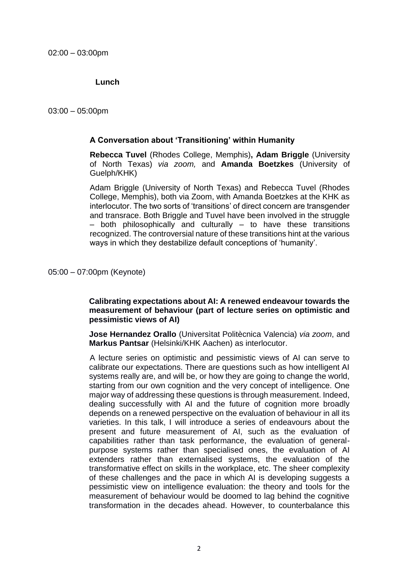## **Lunch**

03:00 – 05:00pm

#### **A Conversation about 'Transitioning' within Humanity**

**Rebecca Tuvel** (Rhodes College, Memphis)**, Adam Briggle** (University of North Texas) *via zoom,* and **Amanda Boetzkes** (University of Guelph/KHK)

Adam Briggle (University of North Texas) and Rebecca Tuvel (Rhodes College, Memphis), both via Zoom, with Amanda Boetzkes at the KHK as interlocutor. The two sorts of 'transitions' of direct concern are transgender and transrace. Both Briggle and Tuvel have been involved in the struggle – both philosophically and culturally – to have these transitions recognized. The controversial nature of these transitions hint at the various ways in which they destabilize default conceptions of 'humanity'.

05:00 – 07:00pm (Keynote)

## **Calibrating expectations about AI: A renewed endeavour towards the measurement of behaviour (part of lecture series on optimistic and pessimistic views of AI)**

**Jose Hernandez Orallo** (Universìtat Politècnica Valencia) *via zoom*, and **Markus Pantsar** (Helsinki/KHK Aachen) as interlocutor.

A lecture series on optimistic and pessimistic views of AI can serve to calibrate our expectations. There are questions such as how intelligent AI systems really are, and will be, or how they are going to change the world, starting from our own cognition and the very concept of intelligence. One major way of addressing these questions is through measurement. Indeed, dealing successfully with AI and the future of cognition more broadly depends on a renewed perspective on the evaluation of behaviour in all its varieties. In this talk, I will introduce a series of endeavours about the present and future measurement of AI, such as the evaluation of capabilities rather than task performance, the evaluation of generalpurpose systems rather than specialised ones, the evaluation of AI extenders rather than externalised systems, the evaluation of the transformative effect on skills in the workplace, etc. The sheer complexity of these challenges and the pace in which AI is developing suggests a pessimistic view on intelligence evaluation: the theory and tools for the measurement of behaviour would be doomed to lag behind the cognitive transformation in the decades ahead. However, to counterbalance this